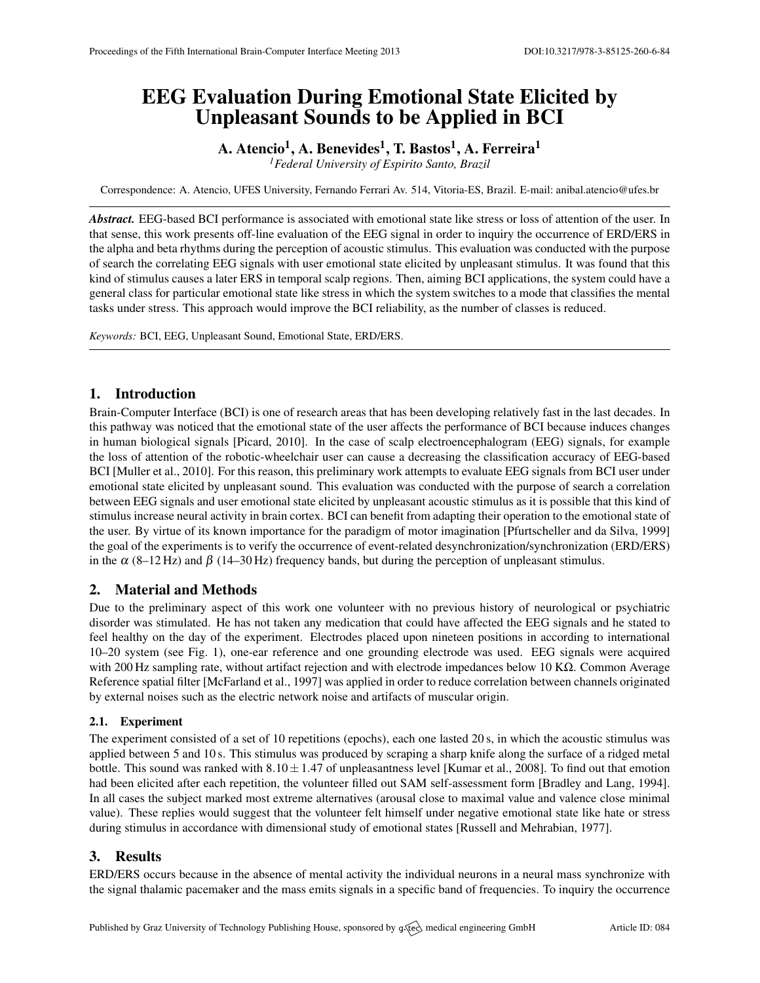# EEG Evaluation During Emotional State Elicited by Unpleasant Sounds to be Applied in BCI

# A. Atencio $^1$ , A. Benevides $^1$ , T. Bastos $^1$ , A. Ferreira $^1$

*<sup>1</sup>Federal University of Espirito Santo, Brazil*

Correspondence: A. Atencio, UFES University, Fernando Ferrari Av. 514, Vitoria-ES, Brazil. E-mail: [anibal.atencio@ufes.br](mailto:anibal.atencio@ufes.br)

*Abstract.* EEG-based BCI performance is associated with emotional state like stress or loss of attention of the user. In that sense, this work presents off-line evaluation of the EEG signal in order to inquiry the occurrence of ERD/ERS in the alpha and beta rhythms during the perception of acoustic stimulus. This evaluation was conducted with the purpose of search the correlating EEG signals with user emotional state elicited by unpleasant stimulus. It was found that this kind of stimulus causes a later ERS in temporal scalp regions. Then, aiming BCI applications, the system could have a general class for particular emotional state like stress in which the system switches to a mode that classifies the mental tasks under stress. This approach would improve the BCI reliability, as the number of classes is reduced.

*Keywords:* BCI, EEG, Unpleasant Sound, Emotional State, ERD/ERS.

# 1. Introduction

Brain-Computer Interface (BCI) is one of research areas that has been developing relatively fast in the last decades. In this pathway was noticed that the emotional state of the user affects the performance of BCI because induces changes in human biological signals [\[Picard,](#page-1-0) [2010\]](#page-1-0). In the case of scalp electroencephalogram (EEG) signals, for example the loss of attention of the robotic-wheelchair user can cause a decreasing the classification accuracy of EEG-based BCI [\[Muller et al.,](#page-1-1) [2010\]](#page-1-1). For this reason, this preliminary work attempts to evaluate EEG signals from BCI user under emotional state elicited by unpleasant sound. This evaluation was conducted with the purpose of search a correlation between EEG signals and user emotional state elicited by unpleasant acoustic stimulus as it is possible that this kind of stimulus increase neural activity in brain cortex. BCI can benefit from adapting their operation to the emotional state of the user. By virtue of its known importance for the paradigm of motor imagination [\[Pfurtscheller and da Silva,](#page-1-2) [1999\]](#page-1-2) the goal of the experiments is to verify the occurrence of event-related desynchronization/synchronization (ERD/ERS) in the  $\alpha$  (8–12 Hz) and  $\beta$  (14–30 Hz) frequency bands, but during the perception of unpleasant stimulus.

# 2. Material and Methods

Due to the preliminary aspect of this work one volunteer with no previous history of neurological or psychiatric disorder was stimulated. He has not taken any medication that could have affected the EEG signals and he stated to feel healthy on the day of the experiment. Electrodes placed upon nineteen positions in according to international 10–20 system (see Fig. [1\)](#page-1-3), one-ear reference and one grounding electrode was used. EEG signals were acquired with 200 Hz sampling rate, without artifact rejection and with electrode impedances below 10 KΩ. Common Average Reference spatial filter [\[McFarland et al.,](#page-1-4) [1997\]](#page-1-4) was applied in order to reduce correlation between channels originated by external noises such as the electric network noise and artifacts of muscular origin.

#### 2.1. Experiment

The experiment consisted of a set of 10 repetitions (epochs), each one lasted 20 s, in which the acoustic stimulus was applied between 5 and 10 s. This stimulus was produced by scraping a sharp knife along the surface of a ridged metal bottle. This sound was ranked with  $8.10 \pm 1.47$  of unpleasantness level [\[Kumar et al.,](#page-1-5) [2008\]](#page-1-5). To find out that emotion had been elicited after each repetition, the volunteer filled out SAM self-assessment form [\[Bradley and Lang,](#page-1-6) [1994\]](#page-1-6). In all cases the subject marked most extreme alternatives (arousal close to maximal value and valence close minimal value). These replies would suggest that the volunteer felt himself under negative emotional state like hate or stress during stimulus in accordance with dimensional study of emotional states [\[Russell and Mehrabian,](#page-1-7) [1977\]](#page-1-7).

# 3. Results

ERD/ERS occurs because in the absence of mental activity the individual neurons in a neural mass synchronize with the signal thalamic pacemaker and the mass emits signals in a specific band of frequencies. To inquiry the occurrence